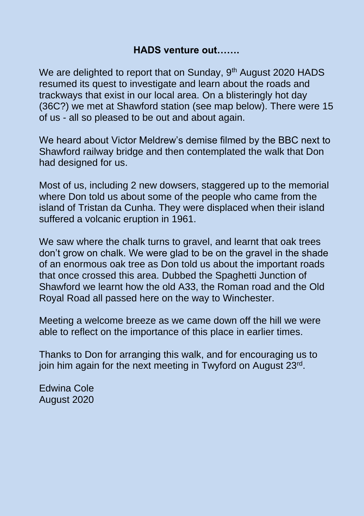## **HADS venture out…….**

We are delighted to report that on Sunday, 9<sup>th</sup> August 2020 HADS resumed its quest to investigate and learn about the roads and trackways that exist in our local area. On a blisteringly hot day (36C?) we met at Shawford station (see map below). There were 15 of us - all so pleased to be out and about again.

We heard about Victor Meldrew's demise filmed by the BBC next to Shawford railway bridge and then contemplated the walk that Don had designed for us.

Most of us, including 2 new dowsers, staggered up to the memorial where Don told us about some of the people who came from the island of Tristan da Cunha. They were displaced when their island suffered a volcanic eruption in 1961.

We saw where the chalk turns to gravel, and learnt that oak trees don't grow on chalk. We were glad to be on the gravel in the shade of an enormous oak tree as Don told us about the important roads that once crossed this area. Dubbed the Spaghetti Junction of Shawford we learnt how the old A33, the Roman road and the Old Royal Road all passed here on the way to Winchester.

Meeting a welcome breeze as we came down off the hill we were able to reflect on the importance of this place in earlier times.

Thanks to Don for arranging this walk, and for encouraging us to join him again for the next meeting in Twyford on August 23<sup>rd</sup>.

Edwina Cole August 2020